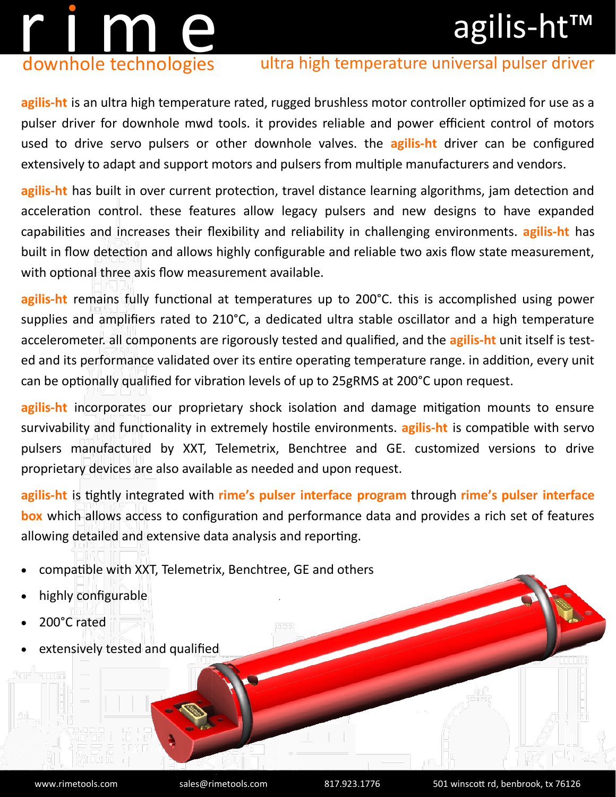## agilis-ht™

# r i m en downhole technologies

### ultra high temperature universal pulser driver

**agilis-ht** is an ultra high temperature rated, rugged brushless motor controller optimized for use as a pulser driver for downhole mwd tools. it provides reliable and power efficient control of motors used to drive servo pulsers or other downhole valves. the **agilis-ht** driver can be configured extensively to adapt and support motors and pulsers from multiple manufacturers and vendors.

**agilis-ht** has built in over current protection, travel distance learning algorithms, jam detection and acceleration control. these features allow legacy pulsers and new designs to have expanded capabilities and increases their flexibility and reliability in challenging environments. **agilis-ht** has built in flow detection and allows highly configurable and reliable two axis flow state measurement, with optional three axis flow measurement available.

**agilis-ht** remains fully functional at temperatures up to 200°C. this is accomplished using power supplies and amplifiers rated to 210°C, a dedicated ultra stable oscillator and a high temperature accelerometer. all components are rigorously tested and qualified, and the **agilis-ht** unit itself is tested and its performance validated over its entire operating temperature range. in addition, every unit can be optionally qualified for vibration levels of up to 25gRMS at 200°C upon request.

**agilis-ht** incorporates our proprietary shock isolation and damage mitigation mounts to ensure survivability and functionality in extremely hostile environments. **agilis-ht** is compatible with servo pulsers manufactured by XXT, Telemetrix, Benchtree and GE. customized versions to drive proprietary devices are also available as needed and upon request.

**agilis-ht** is tightly integrated with **rime's pulser interface program** through **rime's pulser interface box** which allows access to configuration and performance data and provides a rich set of features allowing detailed and extensive data analysis and reporting.

- compatible with XXT, Telemetrix, Benchtree, GE and others
- highly configurable
- 200°C rated
- extensively tested and qualified